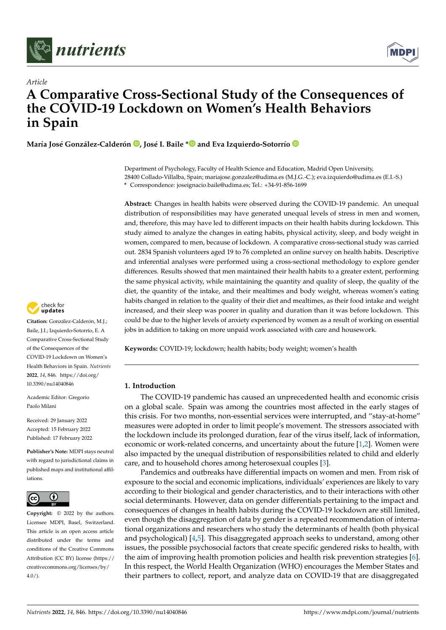



# *Article* **A Comparative Cross-Sectional Study of the Consequences of the COVID-19 Lockdown on Women's Health Behaviors in Spain**

**María José González-Calderón [,](https://orcid.org/0000-0001-6248-5195) José I. Baile [\\*](https://orcid.org/0000-0001-8123-405X) and Eva Izquierdo-Sotorrío**

Department of Psychology, Faculty of Health Science and Education, Madrid Open University, 28400 Collado-Villalba, Spain; mariajose.gonzalez@udima.es (M.J.G.-C.); eva.izquierdo@udima.es (E.I.-S.) **\*** Correspondence: joseignacio.baile@udima.es; Tel.: +34-91-856-1699

**Abstract:** Changes in health habits were observed during the COVID-19 pandemic. An unequal distribution of responsibilities may have generated unequal levels of stress in men and women, and, therefore, this may have led to different impacts on their health habits during lockdown. This study aimed to analyze the changes in eating habits, physical activity, sleep, and body weight in women, compared to men, because of lockdown. A comparative cross-sectional study was carried out. 2834 Spanish volunteers aged 19 to 76 completed an online survey on health habits. Descriptive and inferential analyses were performed using a cross-sectional methodology to explore gender differences. Results showed that men maintained their health habits to a greater extent, performing the same physical activity, while maintaining the quantity and quality of sleep, the quality of the diet, the quantity of the intake, and their mealtimes and body weight, whereas women's eating habits changed in relation to the quality of their diet and mealtimes, as their food intake and weight increased, and their sleep was poorer in quality and duration than it was before lockdown. This could be due to the higher levels of anxiety experienced by women as a result of working on essential jobs in addition to taking on more unpaid work associated with care and housework.

**Keywords:** COVID-19; lockdown; health habits; body weight; women's health

# **1. Introduction**

The COVID-19 pandemic has caused an unprecedented health and economic crisis on a global scale. Spain was among the countries most affected in the early stages of this crisis. For two months, non-essential services were interrupted, and "stay-at-home" measures were adopted in order to limit people's movement. The stressors associated with the lockdown include its prolonged duration, fear of the virus itself, lack of information, economic or work-related concerns, and uncertainty about the future [\[1,](#page-7-0)[2\]](#page-7-1). Women were also impacted by the unequal distribution of responsibilities related to child and elderly care, and to household chores among heterosexual couples [\[3\]](#page-7-2).

Pandemics and outbreaks have differential impacts on women and men. From risk of exposure to the social and economic implications, individuals' experiences are likely to vary according to their biological and gender characteristics, and to their interactions with other social determinants. However, data on gender differentials pertaining to the impact and consequences of changes in health habits during the COVID-19 lockdown are still limited, even though the disaggregation of data by gender is a repeated recommendation of international organizations and researchers who study the determinants of health (both physical and psychological) [\[4,](#page-7-3)[5\]](#page-7-4). This disaggregated approach seeks to understand, among other issues, the possible psychosocial factors that create specific gendered risks to health, with the aim of improving health promotion policies and health risk prevention strategies [\[6\]](#page-7-5). In this respect, the World Health Organization (WHO) encourages the Member States and their partners to collect, report, and analyze data on COVID-19 that are disaggregated



**Citation:** González-Calderón, M.J.; Baile, J.I.; Izquierdo-Sotorrío, E. A Comparative Cross-Sectional Study of the Consequences of the COVID-19 Lockdown on Women's Health Behaviors in Spain. *Nutrients* **2022**, *14*, 846. [https://doi.org/](https://doi.org/10.3390/nu14040846) [10.3390/nu14040846](https://doi.org/10.3390/nu14040846)

Academic Editor: Gregorio Paolo Milani

Received: 29 January 2022 Accepted: 15 February 2022 Published: 17 February 2022

**Publisher's Note:** MDPI stays neutral with regard to jurisdictional claims in published maps and institutional affiliations.



**Copyright:** © 2022 by the authors. Licensee MDPI, Basel, Switzerland. This article is an open access article distributed under the terms and conditions of the Creative Commons Attribution (CC BY) license [\(https://](https://creativecommons.org/licenses/by/4.0/) [creativecommons.org/licenses/by/](https://creativecommons.org/licenses/by/4.0/)  $4.0/$ ).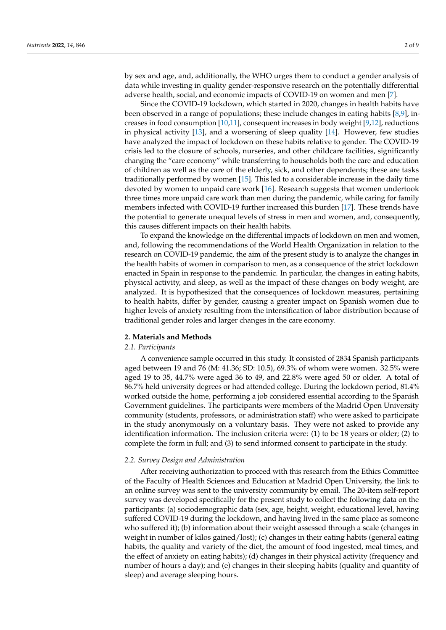by sex and age, and, additionally, the WHO urges them to conduct a gender analysis of data while investing in quality gender-responsive research on the potentially differential adverse health, social, and economic impacts of COVID-19 on women and men [\[7\]](#page-7-6).

Since the COVID-19 lockdown, which started in 2020, changes in health habits have been observed in a range of populations; these include changes in eating habits [\[8,](#page-7-7)[9\]](#page-7-8), increases in food consumption [\[10](#page-7-9)[,11\]](#page-7-10), consequent increases in body weight [\[9,](#page-7-8)[12\]](#page-7-11), reductions in physical activity [\[13\]](#page-7-12), and a worsening of sleep quality [\[14\]](#page-7-13). However, few studies have analyzed the impact of lockdown on these habits relative to gender. The COVID-19 crisis led to the closure of schools, nurseries, and other childcare facilities, significantly changing the "care economy" while transferring to households both the care and education of children as well as the care of the elderly, sick, and other dependents; these are tasks traditionally performed by women [\[15\]](#page-7-14). This led to a considerable increase in the daily time devoted by women to unpaid care work [\[16\]](#page-7-15). Research suggests that women undertook three times more unpaid care work than men during the pandemic, while caring for family members infected with COVID-19 further increased this burden [\[17\]](#page-7-16). These trends have the potential to generate unequal levels of stress in men and women, and, consequently, this causes different impacts on their health habits.

To expand the knowledge on the differential impacts of lockdown on men and women, and, following the recommendations of the World Health Organization in relation to the research on COVID-19 pandemic, the aim of the present study is to analyze the changes in the health habits of women in comparison to men, as a consequence of the strict lockdown enacted in Spain in response to the pandemic. In particular, the changes in eating habits, physical activity, and sleep, as well as the impact of these changes on body weight, are analyzed. It is hypothesized that the consequences of lockdown measures, pertaining to health habits, differ by gender, causing a greater impact on Spanish women due to higher levels of anxiety resulting from the intensification of labor distribution because of traditional gender roles and larger changes in the care economy.

### **2. Materials and Methods**

# *2.1. Participants*

A convenience sample occurred in this study. It consisted of 2834 Spanish participants aged between 19 and 76 (M: 41.36; SD: 10.5), 69.3% of whom were women. 32.5% were aged 19 to 35, 44.7% were aged 36 to 49, and 22.8% were aged 50 or older. A total of 86.7% held university degrees or had attended college. During the lockdown period, 81.4% worked outside the home, performing a job considered essential according to the Spanish Government guidelines. The participants were members of the Madrid Open University community (students, professors, or administration staff) who were asked to participate in the study anonymously on a voluntary basis. They were not asked to provide any identification information. The inclusion criteria were: (1) to be 18 years or older; (2) to complete the form in full; and (3) to send informed consent to participate in the study.

## *2.2. Survey Design and Administration*

After receiving authorization to proceed with this research from the Ethics Committee of the Faculty of Health Sciences and Education at Madrid Open University, the link to an online survey was sent to the university community by email. The 20-item self-report survey was developed specifically for the present study to collect the following data on the participants: (a) sociodemographic data (sex, age, height, weight, educational level, having suffered COVID-19 during the lockdown, and having lived in the same place as someone who suffered it); (b) information about their weight assessed through a scale (changes in weight in number of kilos gained/lost); (c) changes in their eating habits (general eating habits, the quality and variety of the diet, the amount of food ingested, meal times, and the effect of anxiety on eating habits); (d) changes in their physical activity (frequency and number of hours a day); and (e) changes in their sleeping habits (quality and quantity of sleep) and average sleeping hours.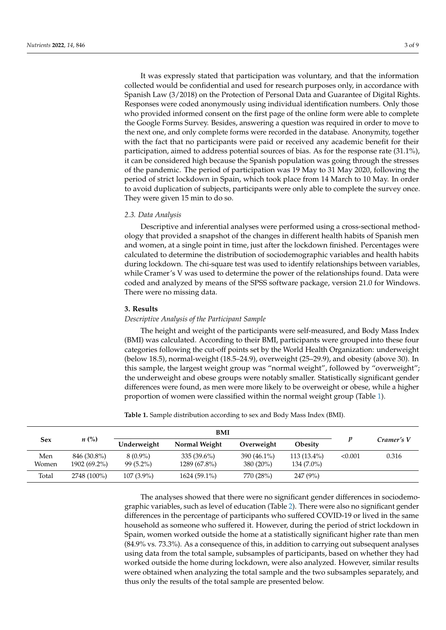It was expressly stated that participation was voluntary, and that the information collected would be confidential and used for research purposes only, in accordance with Spanish Law (3/2018) on the Protection of Personal Data and Guarantee of Digital Rights. Responses were coded anonymously using individual identification numbers. Only those who provided informed consent on the first page of the online form were able to complete the Google Forms Survey. Besides, answering a question was required in order to move to the next one, and only complete forms were recorded in the database. Anonymity, together with the fact that no participants were paid or received any academic benefit for their participation, aimed to address potential sources of bias. As for the response rate (31.1%), it can be considered high because the Spanish population was going through the stresses of the pandemic. The period of participation was 19 May to 31 May 2020, following the period of strict lockdown in Spain, which took place from 14 March to 10 May. In order to avoid duplication of subjects, participants were only able to complete the survey once. They were given 15 min to do so.

## *2.3. Data Analysis*

Descriptive and inferential analyses were performed using a cross-sectional methodology that provided a snapshot of the changes in different health habits of Spanish men and women, at a single point in time, just after the lockdown finished. Percentages were calculated to determine the distribution of sociodemographic variables and health habits during lockdown. The chi-square test was used to identify relationships between variables, while Cramer's V was used to determine the power of the relationships found. Data were coded and analyzed by means of the SPSS software package, version 21.0 for Windows. There were no missing data.

## **3. Results**

### *Descriptive Analysis of the Participant Sample*

The height and weight of the participants were self-measured, and Body Mass Index (BMI) was calculated. According to their BMI, participants were grouped into these four categories following the cut-off points set by the World Health Organization: underweight (below 18.5), normal-weight (18.5–24.9), overweight (25–29.9), and obesity (above 30). In this sample, the largest weight group was "normal weight", followed by "overweight"; the underweight and obese groups were notably smaller. Statistically significant gender differences were found, as men were more likely to be overweight or obese, while a higher proportion of women were classified within the normal weight group (Table [1\)](#page-2-0).

|              | $n\ (\%)$                   | <b>BMI</b>                |                               |                            |                               |         |            |
|--------------|-----------------------------|---------------------------|-------------------------------|----------------------------|-------------------------------|---------|------------|
| Sex          |                             | Underweight               | Normal Weight                 | Overweight                 | <b>Obesity</b>                |         | Cramer's V |
| Men<br>Women | 846 (30.8%)<br>1902 (69.2%) | $8(0.9\%)$<br>$99(5.2\%)$ | $335(39.6\%)$<br>1289 (67.8%) | 390 (46.1%)<br>$380(20\%)$ | $113(13.4\%)$<br>$134(7.0\%)$ | < 0.001 | 0.316      |
| Total        | 2748 (100%)                 | $107(3.9\%)$              | $1624(59.1\%)$                | 770 (28%)                  | 247 (9%)                      |         |            |

<span id="page-2-0"></span>**Table 1.** Sample distribution according to sex and Body Mass Index (BMI).

The analyses showed that there were no significant gender differences in sociodemographic variables, such as level of education (Table [2\)](#page-3-0). There were also no significant gender differences in the percentage of participants who suffered COVID-19 or lived in the same household as someone who suffered it. However, during the period of strict lockdown in Spain, women worked outside the home at a statistically significant higher rate than men (84.9% vs. 73.3%). As a consequence of this, in addition to carrying out subsequent analyses using data from the total sample, subsamples of participants, based on whether they had worked outside the home during lockdown, were also analyzed. However, similar results were obtained when analyzing the total sample and the two subsamples separately, and thus only the results of the total sample are presented below.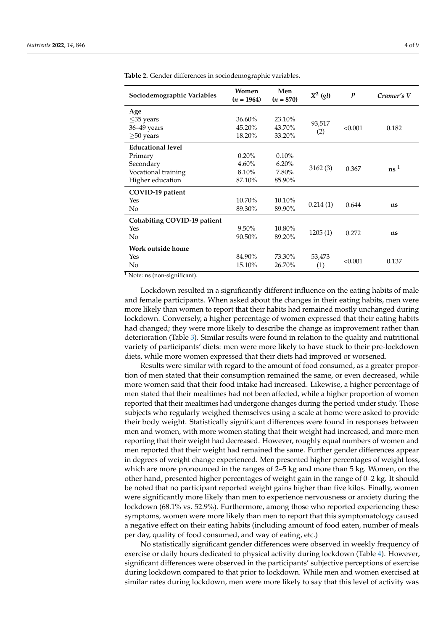| Sociodemographic Variables  | Women<br>$(n = 1964)$ | Men<br>$(n = 870)$ | $X^2$ (gl) | p       | Cramer's V    |
|-----------------------------|-----------------------|--------------------|------------|---------|---------------|
| Age                         |                       |                    |            |         |               |
| $\leq$ 35 years             | 36.60%                | 23.10%             | 93,517     |         |               |
| 36-49 years                 | 45.20%                | 43.70%             |            | < 0.001 | 0.182         |
| $\geq$ 50 years             | 18.20%                | 33.20%             | (2)        |         |               |
| <b>Educational level</b>    |                       |                    |            |         |               |
| Primary                     | $0.20\%$              | $0.10\%$           |            |         |               |
| Secondary                   | 4.60%                 | 6.20%              |            |         |               |
| Vocational training         | 8.10%                 | 7.80%              | 3162(3)    | 0.367   | $\text{ns}^1$ |
| Higher education            | 87.10%                | 85.90%             |            |         |               |
| COVID-19 patient            |                       |                    |            |         |               |
| Yes                         | 10.70%                | 10.10%             |            |         |               |
| No                          | 89.30%                | 89.90%             | 0.214(1)   | 0.644   | ns            |
| Cohabiting COVID-19 patient |                       |                    |            |         |               |
| Yes                         | 9.50%                 | 10.80%             |            |         | ns            |
| No                          | 90.50%                | 89.20%             | 1205(1)    | 0.272   |               |
| Work outside home           |                       |                    |            |         |               |
| Yes                         | 84.90%                | 73.30%             | 53,473     | < 0.001 |               |
| No                          | 15.10%                | 26.70%             | (1)        |         | 0.137         |

<span id="page-3-0"></span>**Table 2.** Gender differences in sociodemographic variables.

 $\frac{1}{1}$  Note: ns (non-significant).

Lockdown resulted in a significantly different influence on the eating habits of male and female participants. When asked about the changes in their eating habits, men were more likely than women to report that their habits had remained mostly unchanged during lockdown. Conversely, a higher percentage of women expressed that their eating habits had changed; they were more likely to describe the change as improvement rather than deterioration (Table [3\)](#page-4-0). Similar results were found in relation to the quality and nutritional variety of participants' diets: men were more likely to have stuck to their pre-lockdown diets, while more women expressed that their diets had improved or worsened.

Results were similar with regard to the amount of food consumed, as a greater proportion of men stated that their consumption remained the same, or even decreased, while more women said that their food intake had increased. Likewise, a higher percentage of men stated that their mealtimes had not been affected, while a higher proportion of women reported that their mealtimes had undergone changes during the period under study. Those subjects who regularly weighed themselves using a scale at home were asked to provide their body weight. Statistically significant differences were found in responses between men and women, with more women stating that their weight had increased, and more men reporting that their weight had decreased. However, roughly equal numbers of women and men reported that their weight had remained the same. Further gender differences appear in degrees of weight change experienced. Men presented higher percentages of weight loss, which are more pronounced in the ranges of 2–5 kg and more than 5 kg. Women, on the other hand, presented higher percentages of weight gain in the range of 0–2 kg. It should be noted that no participant reported weight gains higher than five kilos. Finally, women were significantly more likely than men to experience nervousness or anxiety during the lockdown (68.1% vs. 52.9%). Furthermore, among those who reported experiencing these symptoms, women were more likely than men to report that this symptomatology caused a negative effect on their eating habits (including amount of food eaten, number of meals per day, quality of food consumed, and way of eating, etc.)

No statistically significant gender differences were observed in weekly frequency of exercise or daily hours dedicated to physical activity during lockdown (Table [4\)](#page-5-0). However, significant differences were observed in the participants' subjective perceptions of exercise during lockdown compared to that prior to lockdown. While men and women exercised at similar rates during lockdown, men were more likely to say that this level of activity was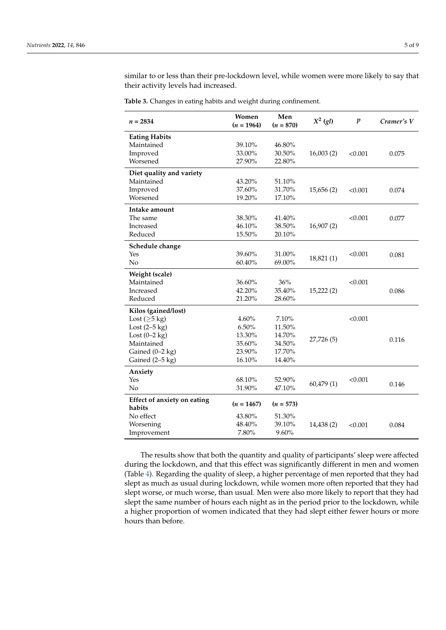similar to or less than their pre-lockdown level, while women were more likely to say that their activity levels had increased.

<span id="page-4-0"></span>

|  |  |  | <b>Table 3.</b> Changes in eating habits and weight during confinement. |  |
|--|--|--|-------------------------------------------------------------------------|--|
|  |  |  |                                                                         |  |

| $n = 2834$                                   | Women<br>$(n = 1964)$ | Men<br>$(n = 870)$ | $X^2$ (gl) | $\boldsymbol{p}$ | Cramer's V |
|----------------------------------------------|-----------------------|--------------------|------------|------------------|------------|
| <b>Eating Habits</b>                         |                       |                    |            |                  |            |
| Maintained                                   | 39.10%                | 46.80%             |            |                  |            |
| Improved                                     | 33.00%                | 30.50%             | 16,003(2)  | < 0.001          | 0.075      |
| Worsened                                     | 27.90%                | 22.80%             |            |                  |            |
| Diet quality and variety                     |                       |                    |            |                  |            |
| Maintained                                   | 43.20%                | 51.10%             |            |                  |            |
| Improved                                     | 37.60%                | 31.70%             | 15,656(2)  | < 0.001          | 0.074      |
| Worsened                                     | 19.20%                | 17.10%             |            |                  |            |
| Intake amount                                |                       |                    |            |                  |            |
| The same                                     | 38.30%                | 41.40%             |            | < 0.001          | 0.077      |
| <b>Increased</b>                             | 46.10%                | 38.50%             | 16,907(2)  |                  |            |
| Reduced                                      | 15.50%                | 20.10%             |            |                  |            |
| Schedule change                              |                       |                    |            |                  |            |
| Yes                                          | 39.60%                | 31.00%             | 18,821 (1) | < 0.001          | 0.081      |
| No                                           | 60.40%                | 69.00%             |            |                  |            |
| Weight (scale)                               |                       |                    |            |                  |            |
| Maintained                                   | 36.60%                | 36%                |            | < 0.001          |            |
| Increased                                    | 42.20%                | 35.40%             | 15,222(2)  |                  | 0.086      |
| Reduced                                      | 21.20%                | 28.60%             |            |                  |            |
| Kilos (gained/lost)                          |                       |                    |            |                  |            |
| Lost ( $\geq$ 5 kg)                          | 4.60%                 | 7.10%              |            | < 0.001          |            |
| Lost $(2-5$ kg)                              | 6.50%                 | 11.50%             |            |                  |            |
| Lost $(0-2$ kg)                              | 13.30%                | 14.70%             | 27,726 (5) |                  | 0.116      |
| Maintained                                   | 35.60%                | 34.50%             |            |                  |            |
| Gained (0-2 kg)                              | 23.90%                | 17.70%             |            |                  |            |
| Gained $(2-5$ kg)                            | 16.10%                | 14.40%             |            |                  |            |
| Anxiety                                      |                       |                    |            |                  |            |
| Yes                                          | 68.10%                | 52.90%             | 60,479(1)  | < 0.001          | 0.146      |
| No                                           | 31.90%                | 47.10%             |            |                  |            |
| <b>Effect of anxiety on eating</b><br>habits | $(n = 1467)$          | $(n = 573)$        |            |                  |            |
| No effect                                    | 43.80%                | 51.30%             |            |                  |            |
| Worsening                                    | 48.40%                | 39.10%             | 14,438 (2) | < 0.001          | 0.084      |
| Improvement                                  | 7.80%                 | 9.60%              |            |                  |            |

The results show that both the quantity and quality of participants' sleep were affected during the lockdown, and that this effect was significantly different in men and women (Table [4\)](#page-5-0). Regarding the quality of sleep, a higher percentage of men reported that they had slept as much as usual during lockdown, while women more often reported that they had slept worse, or much worse, than usual. Men were also more likely to report that they had slept the same number of hours each night as in the period prior to the lockdown, while a higher proportion of women indicated that they had slept either fewer hours or more hours than before.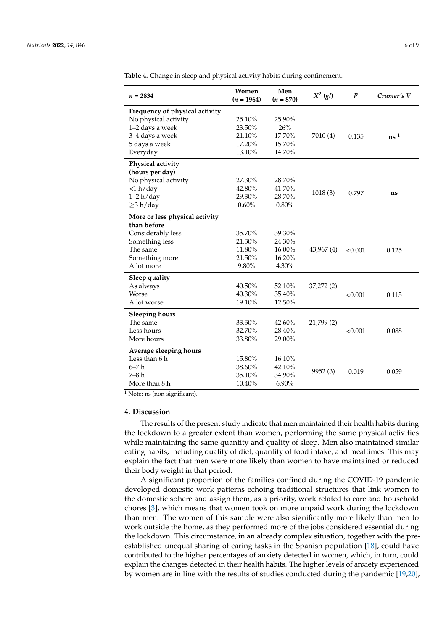| $n = 2834$                     | Women<br>$(n = 1964)$ | Men<br>$(n = 870)$ | $X^2$ (gl) | $\boldsymbol{p}$ | Cramer's V               |
|--------------------------------|-----------------------|--------------------|------------|------------------|--------------------------|
| Frequency of physical activity |                       |                    |            |                  |                          |
| No physical activity           | 25.10%                | 25.90%             |            |                  |                          |
| 1-2 days a week                | 23.50%                | 26%                |            |                  |                          |
| 3-4 days a week                | 21.10%                | 17.70%             | 7010 (4)   | 0.135            | $\mathbf{n}\mathbf{s}$ 1 |
| 5 days a week                  | 17.20%                | 15.70%             |            |                  |                          |
| Everyday                       | 13.10%                | 14.70%             |            |                  |                          |
| Physical activity              |                       |                    |            |                  |                          |
| (hours per day)                |                       |                    |            |                  |                          |
| No physical activity           | 27.30%                | 28.70%             |            |                  |                          |
| $<$ 1 h/day                    | 42.80%                | 41.70%             |            |                  |                          |
| $1-2 h/day$                    | 29.30%                | 28.70%             | 1018(3)    | 0.797            | ns                       |
| $\geq$ 3 h/day                 | 0.60%                 | $0.80\%$           |            |                  |                          |
| More or less physical activity |                       |                    |            |                  |                          |
| than before                    |                       |                    |            |                  |                          |
| Considerably less              | 35.70%                | 39.30%             |            |                  |                          |
| Something less                 | 21.30%                | 24.30%             |            |                  |                          |
| The same                       | 11.80%                | 16.00%             | 43,967 (4) | < 0.001          | 0.125                    |
| Something more                 | 21.50%                | 16.20%             |            |                  |                          |
| A lot more                     | 9.80%                 | 4.30%              |            |                  |                          |
| Sleep quality                  |                       |                    |            |                  |                          |
| As always                      | 40.50%                | 52.10%             | 37,272(2)  |                  |                          |
| <b>Worse</b>                   | 40.30%                | 35.40%             |            | < 0.001          | 0.115                    |
| A lot worse                    | 19.10%                | 12.50%             |            |                  |                          |
| <b>Sleeping hours</b>          |                       |                    |            |                  |                          |
| The same                       | 33.50%                | 42.60%             | 21,799 (2) |                  |                          |
| Less hours                     | 32.70%                | 28.40%             |            | < 0.001          | 0.088                    |
| More hours                     | 33.80%                | 29.00%             |            |                  |                          |
| Average sleeping hours         |                       |                    |            |                  |                          |
| Less than 6 h                  | 15.80%                | 16.10%             |            |                  |                          |
| $6 - 7h$                       | 38.60%                | 42.10%             |            |                  |                          |
| $7-8h$                         | 35.10%                | 34.90%             | 9952 (3)   | 0.019            | 0.059                    |
| More than 8 h                  | 10.40%                | 6.90%              |            |                  |                          |

<span id="page-5-0"></span>**Table 4.** Change in sleep and physical activity habits during confinement.

 $\overline{1}$  Note: ns (non-significant).

## **4. Discussion**

The results of the present study indicate that men maintained their health habits during the lockdown to a greater extent than women, performing the same physical activities while maintaining the same quantity and quality of sleep. Men also maintained similar eating habits, including quality of diet, quantity of food intake, and mealtimes. This may explain the fact that men were more likely than women to have maintained or reduced their body weight in that period.

A significant proportion of the families confined during the COVID-19 pandemic developed domestic work patterns echoing traditional structures that link women to the domestic sphere and assign them, as a priority, work related to care and household chores [\[3\]](#page-7-2), which means that women took on more unpaid work during the lockdown than men. The women of this sample were also significantly more likely than men to work outside the home, as they performed more of the jobs considered essential during the lockdown. This circumstance, in an already complex situation, together with the preestablished unequal sharing of caring tasks in the Spanish population [\[18\]](#page-7-17), could have contributed to the higher percentages of anxiety detected in women, which, in turn, could explain the changes detected in their health habits. The higher levels of anxiety experienced by women are in line with the results of studies conducted during the pandemic [\[19,](#page-7-18)[20\]](#page-8-0),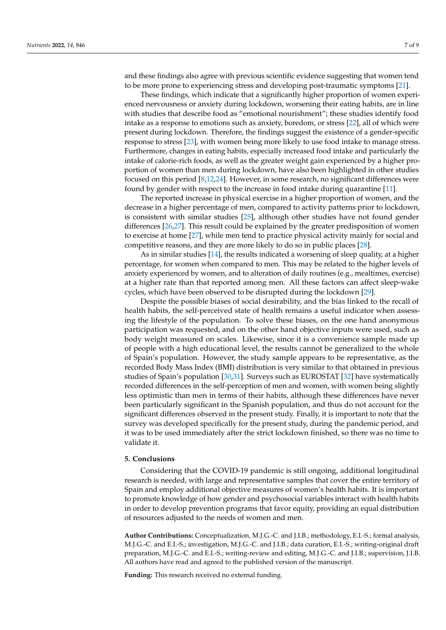and these findings also agree with previous scientific evidence suggesting that women tend to be more prone to experiencing stress and developing post-traumatic symptoms [\[21\]](#page-8-1).

These findings, which indicate that a significantly higher proportion of women experienced nervousness or anxiety during lockdown, worsening their eating habits, are in line with studies that describe food as "emotional nourishment"; these studies identify food intake as a response to emotions such as anxiety, boredom, or stress [\[22\]](#page-8-2), all of which were present during lockdown. Therefore, the findings suggest the existence of a gender-specific response to stress [\[23\]](#page-8-3), with women being more likely to use food intake to manage stress. Furthermore, changes in eating habits, especially increased food intake and particularly the intake of calorie-rich foods, as well as the greater weight gain experienced by a higher proportion of women than men during lockdown, have also been highlighted in other studies focused on this period [\[8,](#page-7-7)[12,](#page-7-11)[24\]](#page-8-4). However, in some research, no significant differences were found by gender with respect to the increase in food intake during quarantine [\[11\]](#page-7-10).

The reported increase in physical exercise in a higher proportion of women, and the decrease in a higher percentage of men, compared to activity patterns prior to lockdown, is consistent with similar studies [\[25\]](#page-8-5), although other studies have not found gender differences [\[26](#page-8-6)[,27\]](#page-8-7). This result could be explained by the greater predisposition of women to exercise at home [\[27\]](#page-8-7), while men tend to practice physical activity mainly for social and competitive reasons, and they are more likely to do so in public places [\[28\]](#page-8-8).

As in similar studies [\[14\]](#page-7-13), the results indicated a worsening of sleep quality, at a higher percentage, for women when compared to men. This may be related to the higher levels of anxiety experienced by women, and to alteration of daily routines (e.g., mealtimes, exercise) at a higher rate than that reported among men. All these factors can affect sleep-wake cycles, which have been observed to be disrupted during the lockdown [\[29\]](#page-8-9).

Despite the possible biases of social desirability, and the bias linked to the recall of health habits, the self-perceived state of health remains a useful indicator when assessing the lifestyle of the population. To solve these biases, on the one hand anonymous participation was requested, and on the other hand objective inputs were used, such as body weight measured on scales. Likewise, since it is a convenience sample made up of people with a high educational level, the results cannot be generalized to the whole of Spain's population. However, the study sample appears to be representative, as the recorded Body Mass Index (BMI) distribution is very similar to that obtained in previous studies of Spain's population [\[30](#page-8-10)[,31\]](#page-8-11). Surveys such as EUROSTAT [\[32\]](#page-8-12) have systematically recorded differences in the self-perception of men and women, with women being slightly less optimistic than men in terms of their habits, although these differences have never been particularly significant in the Spanish population, and thus do not account for the significant differences observed in the present study. Finally, it is important to note that the survey was developed specifically for the present study, during the pandemic period, and it was to be used immediately after the strict lockdown finished, so there was no time to validate it.

## **5. Conclusions**

Considering that the COVID-19 pandemic is still ongoing, additional longitudinal research is needed, with large and representative samples that cover the entire territory of Spain and employ additional objective measures of women's health habits. It is important to promote knowledge of how gender and psychosocial variables interact with health habits in order to develop prevention programs that favor equity, providing an equal distribution of resources adjusted to the needs of women and men.

**Author Contributions:** Conceptualization, M.J.G.-C. and J.I.B.; methodology, E.I.-S.; formal analysis, M.J.G.-C. and E.I.-S.; investigation, M.J.G.-C. and J.I.B.; data curation, E.I.-S.; writing-original draft preparation, M.J.G.-C. and E.I.-S.; writing-review and editing, M.J.G.-C. and J.I.B.; supervision, J.I.B. All authors have read and agreed to the published version of the manuscript.

**Funding:** This research received no external funding.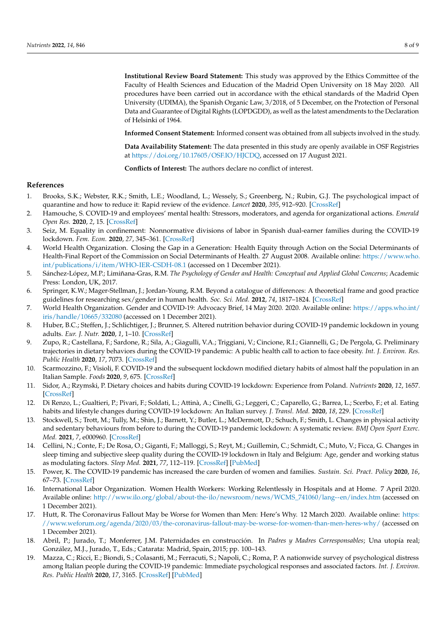**Institutional Review Board Statement:** This study was approved by the Ethics Committee of the Faculty of Health Sciences and Education of the Madrid Open University on 18 May 2020. All procedures have been carried out in accordance with the ethical standards of the Madrid Open University (UDIMA), the Spanish Organic Law, 3/2018, of 5 December, on the Protection of Personal Data and Guarantee of Digital Rights (LOPDGDD), as well as the latest amendments to the Declaration of Helsinki of 1964.

**Informed Consent Statement:** Informed consent was obtained from all subjects involved in the study.

**Data Availability Statement:** The data presented in this study are openly available in OSF Registries at [https://doi.org/10.17605/OSF.IO/HJCDQ,](https://doi.org/10.17605/OSF.IO/HJCDQ) accessed on 17 August 2021.

**Conflicts of Interest:** The authors declare no conflict of interest.

# **References**

- <span id="page-7-0"></span>1. Brooks, S.K.; Webster, R.K.; Smith, L.E.; Woodland, L.; Wessely, S.; Greenberg, N.; Rubin, G.J. The psychological impact of quarantine and how to reduce it: Rapid review of the evidence. *Lancet* **2020**, *395*, 912–920. [\[CrossRef\]](http://doi.org/10.1016/S0140-6736(20)30460-8)
- <span id="page-7-1"></span>2. Hamouche, S. COVID-19 and employees' mental health: Stressors, moderators, and agenda for organizational actions. *Emerald Open Res.* **2020**, *2*, 15. [\[CrossRef\]](http://doi.org/10.35241/emeraldopenres.13550.1)
- <span id="page-7-2"></span>3. Seiz, M. Equality in confinement: Nonnormative divisions of labor in Spanish dual-earner families during the COVID-19 lockdown. *Fem. Econ.* **2020**, *27*, 345–361. [\[CrossRef\]](http://doi.org/10.1080/13545701.2020.1829674)
- <span id="page-7-3"></span>4. World Health Organization. Closing the Gap in a Generation: Health Equity through Action on the Social Determinants of Health-Final Report of the Commission on Social Determinants of Health. 27 August 2008. Available online: [https://www.who.](https://www.who.int/publications/i/item/WHO-IER-CSDH-08.1) [int/publications/i/item/WHO-IER-CSDH-08.1](https://www.who.int/publications/i/item/WHO-IER-CSDH-08.1) (accessed on 1 December 2021).
- <span id="page-7-4"></span>5. Sánchez-López, M.P.; Limiñana-Gras, R.M. *The Psychology of Gender and Health: Conceptual and Applied Global Concerns*; Academic Press: London, UK, 2017.
- <span id="page-7-5"></span>6. Springer, K.W.; Mager-Stellman, J.; Jordan-Young, R.M. Beyond a catalogue of differences: A theoretical frame and good practice guidelines for researching sex/gender in human health. *Soc. Sci. Med.* **2012**, *74*, 1817–1824. [\[CrossRef\]](http://doi.org/10.1016/j.socscimed.2011.05.033)
- <span id="page-7-6"></span>7. World Health Organization. Gender and COVID-19: Advocacy Brief, 14 May 2020. 2020. Available online: [https://apps.who.int/](https://apps.who.int/iris/handle/10665/332080) [iris/handle/10665/332080](https://apps.who.int/iris/handle/10665/332080) (accessed on 1 December 2021).
- <span id="page-7-7"></span>8. Huber, B.C.; Steffen, J.; Schlichtiger, J.; Brunner, S. Altered nutrition behavior during COVID-19 pandemic lockdown in young adults. *Eur. J. Nutr.* **2020**, *1*, 1–10. [\[CrossRef\]](http://doi.org/10.1007/s00394-020-02435-6)
- <span id="page-7-8"></span>9. Zupo, R.; Castellana, F.; Sardone, R.; Sila, A.; Giagulli, V.A.; Triggiani, V.; Cincione, R.I.; Giannelli, G.; De Pergola, G. Preliminary trajectories in dietary behaviors during the COVID-19 pandemic: A public health call to action to face obesity. *Int. J. Environ. Res. Public Health* **2020**, *17*, 7073. [\[CrossRef\]](http://doi.org/10.3390/ijerph17197073)
- <span id="page-7-9"></span>10. Scarmozzino, F.; Visioli, F. COVID-19 and the subsequent lockdown modified dietary habits of almost half the population in an Italian Sample. *Foods* **2020**, *9*, 675. [\[CrossRef\]](http://doi.org/10.3390/foods9050675)
- <span id="page-7-10"></span>11. Sidor, A.; Rzymski, P. Dietary choices and habits during COVID-19 lockdown: Experience from Poland. *Nutrients* **2020**, *12*, 1657. [\[CrossRef\]](http://doi.org/10.3390/nu12061657)
- <span id="page-7-11"></span>12. Di Renzo, L.; Gualtieri, P.; Pivari, F.; Soldati, L.; Attinà, A.; Cinelli, G.; Leggeri, C.; Caparello, G.; Barrea, L.; Scerbo, F.; et al. Eating habits and lifestyle changes during COVID-19 lockdown: An Italian survey. *J. Transl. Med.* **2020**, *18*, 229. [\[CrossRef\]](http://doi.org/10.1186/s12967-020-02399-5)
- <span id="page-7-12"></span>13. Stockwell, S.; Trott, M.; Tully, M.; Shin, J.; Barnett, Y.; Butler, L.; McDermott, D.; Schuch, F.; Smith, L. Changes in physical activity and sedentary behaviours from before to during the COVID-19 pandemic lockdown: A systematic review. *BMJ Open Sport Exerc. Med.* **2021**, *7*, e000960. [\[CrossRef\]](http://doi.org/10.1136/bmjsem-2020-000960)
- <span id="page-7-13"></span>14. Cellini, N.; Conte, F.; De Rosa, O.; Giganti, F.; Malloggi, S.; Reyt, M.; Guillemin, C.; Schmidt, C.; Muto, V.; Ficca, G. Changes in sleep timing and subjective sleep quality during the COVID-19 lockdown in Italy and Belgium: Age, gender and working status as modulating factors. *Sleep Med.* **2021**, *77*, 112–119. [\[CrossRef\]](http://doi.org/10.1016/j.sleep.2020.11.027) [\[PubMed\]](http://www.ncbi.nlm.nih.gov/pubmed/33348298)
- <span id="page-7-14"></span>15. Power, K. The COVID-19 pandemic has increased the care burden of women and families. *Sustain. Sci. Pract. Policy* **2020**, *16*, 67–73. [\[CrossRef\]](http://doi.org/10.1080/15487733.2020.1776561)
- <span id="page-7-15"></span>16. International Labor Organization. Women Health Workers: Working Relentlessly in Hospitals and at Home. 7 April 2020. Available online: [http://www.ilo.org/global/about-the-ilo/newsroom/news/WCMS\\_741060/lang--en/index.htm](http://www.ilo.org/global/about-the-ilo/newsroom/news/WCMS_741060/lang--en/index.htm) (accessed on 1 December 2021).
- <span id="page-7-16"></span>17. Hutt, R. The Coronavirus Fallout May be Worse for Women than Men: Here's Why. 12 March 2020. Available online: [https:](https://www.weforum.org/agenda/2020/03/the-coronavirus-fallout-may-be-worse-for-women-than-men-heres-why/) [//www.weforum.org/agenda/2020/03/the-coronavirus-fallout-may-be-worse-for-women-than-men-heres-why/](https://www.weforum.org/agenda/2020/03/the-coronavirus-fallout-may-be-worse-for-women-than-men-heres-why/) (accessed on 1 December 2021).
- <span id="page-7-17"></span>18. Abril, P.; Jurado, T.; Monferrer, J.M. Paternidades en construcción. In *Padres y Madres Corresponsables*; Una utopía real; González, M.J., Jurado, T., Eds.; Catarata: Madrid, Spain, 2015; pp. 100–143.
- <span id="page-7-18"></span>19. Mazza, C.; Ricci, E.; Biondi, S.; Colasanti, M.; Ferracuti, S.; Napoli, C.; Roma, P. A nationwide survey of psychological distress among Italian people during the COVID-19 pandemic: Immediate psychological responses and associated factors. *Int. J. Environ. Res. Public Health* **2020**, *17*, 3165. [\[CrossRef\]](http://doi.org/10.3390/ijerph17093165) [\[PubMed\]](http://www.ncbi.nlm.nih.gov/pubmed/32370116)